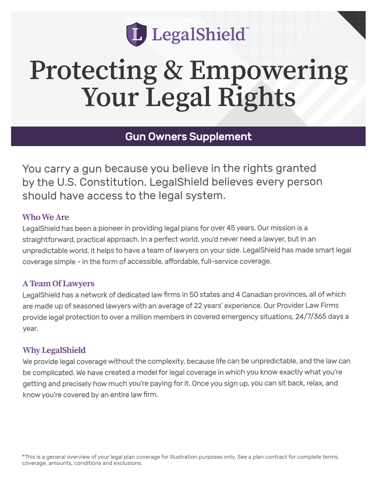

# **Protecting & Empowering Your Legal Rights**

Gun Owners Supplement

You carry a gun because you believe in the rights granted by the U.S. Constitution. LegalShield believes every person should have access to the legal system.

#### **Who We Are**

LegalShield has been a pioneer in providing legal plans for over 45 years. Our mission is a straightforward, practical approach. In a perfect world, you'd never need a lawyer, but in an unpredictable world, it helps to have a team of lawyers on your side. LegalShield has made smart legal coverage simple - in the form of accessible, affordable, full-service coverage.

#### **A Team Of Lawyers**

LegalShield has a network of dedicated law firms in 50 states and 4 Canadian provinces, all of which are made up of seasoned lawyers with an average of 22 years' experience. Our Provider Law Firms provide legal protection to over a million members in covered emergency situations, 24/7/365 days a year.

#### **Why LegalShield**

We provide legal coverage without the complexity, because life can be unpredictable, and the law can be complicated. We have created a model for legal coverage in which you know exactly what you're getting and precisely how much you're paying for it. Once you sign up, you can sit back, relax, and know you're covered by an entire law firm.